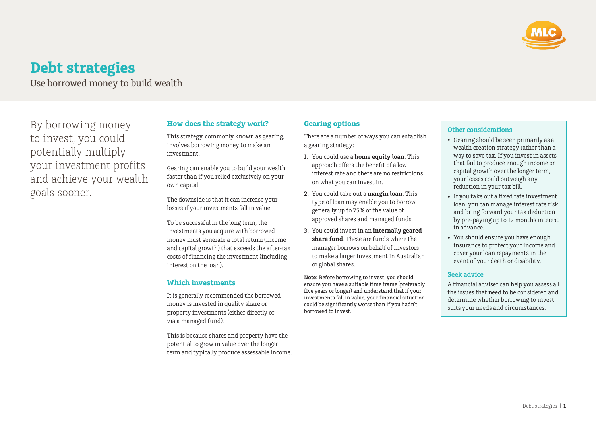

# **Debt strategies**

Use borrowed money to build wealth

By borrowing money to invest, you could potentially multiply your investment profits and achieve your wealth goals sooner.

# **How does the strategy work?**

This strategy, commonly known as gearing, involves borrowing money to make an investment.

Gearing can enable you to build your wealth faster than if you relied exclusively on your own capital.

The downside is that it can increase your losses if your investments fall in value.

To be successful in the long term, the investments you acquire with borrowed money must generate a total return (income and capital growth) that exceeds the after-tax costs of financing the investment (including interest on the loan).

### **Which investments**

It is generally recommended the borrowed money is invested in quality share or property investments (either directly or via a managed fund).

This is because shares and property have the potential to grow in value over the longer term and typically produce assessable income.

# **Gearing options**

There are a number of ways you can establish a gearing strategy:

- 1. You could use a **home equity loan**. This approach offers the benefit of a low interest rate and there are no restrictions on what you can invest in.
- 2. You could take out a **margin loan**. This type of loan may enable you to borrow generally up to 75% of the value of approved shares and managed funds.
- 3. You could invest in an **internally geared share fund**. These are funds where the manager borrows on behalf of investors to make a larger investment in Australian or global shares.

**Note:** Before borrowing to invest, you should ensure you have a suitable time frame (preferably five years or longer) and understand that if your investments fall in value, your financial situation could be significantly worse than if you hadn't borrowed to invest.

## **Other considerations**

- Gearing should be seen primarily as a wealth creation strategy rather than a way to save tax. If you invest in assets that fail to produce enough income or capital growth over the longer term, your losses could outweigh any reduction in your tax bill.
- If you take out a fixed rate investment loan, you can manage interest rate risk and bring forward your tax deduction by pre-paying up to 12 months interest in advance.
- You should ensure you have enough insurance to protect your income and cover your loan repayments in the event of your death or disability.

## **Seek advice**

A financial adviser can help you assess all the issues that need to be considered and determine whether borrowing to invest suits your needs and circumstances.